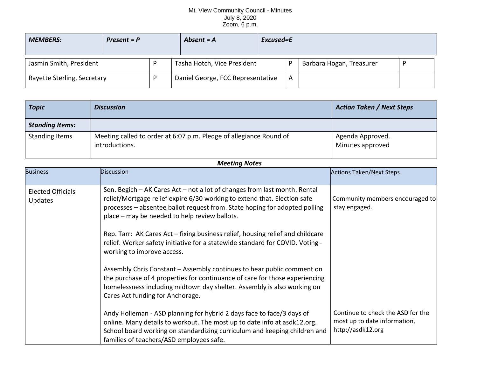## Mt. View Community Council - Minutes July 8, 2020 Zoom, 6 p.m.

| <b>MEMBERS:</b><br>$Present = P$ |  | Absent $= A$                      | Excused=E |   |                          |  |
|----------------------------------|--|-----------------------------------|-----------|---|--------------------------|--|
| Jasmin Smith, President          |  | Tasha Hotch, Vice President       |           |   | Barbara Hogan, Treasurer |  |
| Rayette Sterling, Secretary      |  | Daniel George, FCC Representative |           | A |                          |  |

| <b>Topic</b>           | <b>Discussion</b>                                                                    | <b>Action Taken / Next Steps</b>     |
|------------------------|--------------------------------------------------------------------------------------|--------------------------------------|
| <b>Standing Items:</b> |                                                                                      |                                      |
| <b>Standing Items</b>  | Meeting called to order at 6:07 p.m. Pledge of allegiance Round of<br>introductions. | Agenda Approved.<br>Minutes approved |

| <b>Meeting Notes</b>                |                                                                                                                                                                                                                                                                                      |                                                                                        |  |  |  |  |  |
|-------------------------------------|--------------------------------------------------------------------------------------------------------------------------------------------------------------------------------------------------------------------------------------------------------------------------------------|----------------------------------------------------------------------------------------|--|--|--|--|--|
| <b>Business</b>                     | <b>Discussion</b>                                                                                                                                                                                                                                                                    | <b>Actions Taken/Next Steps</b>                                                        |  |  |  |  |  |
| <b>Elected Officials</b><br>Updates | Sen. Begich - AK Cares Act - not a lot of changes from last month. Rental<br>relief/Mortgage relief expire 6/30 working to extend that. Election safe<br>processes – absentee ballot request from. State hoping for adopted polling<br>place - may be needed to help review ballots. | Community members encouraged to<br>stay engaged.                                       |  |  |  |  |  |
|                                     | Rep. Tarr: AK Cares Act - fixing business relief, housing relief and childcare<br>relief. Worker safety initiative for a statewide standard for COVID. Voting -<br>working to improve access.                                                                                        |                                                                                        |  |  |  |  |  |
|                                     | Assembly Chris Constant - Assembly continues to hear public comment on<br>the purchase of 4 properties for continuance of care for those experiencing<br>homelessness including midtown day shelter. Assembly is also working on<br>Cares Act funding for Anchorage.                 |                                                                                        |  |  |  |  |  |
|                                     | Andy Holleman - ASD planning for hybrid 2 days face to face/3 days of<br>online. Many details to workout. The most up to date info at asdk12.org.<br>School board working on standardizing curriculum and keeping children and<br>families of teachers/ASD employees safe.           | Continue to check the ASD for the<br>most up to date information,<br>http://asdk12.org |  |  |  |  |  |